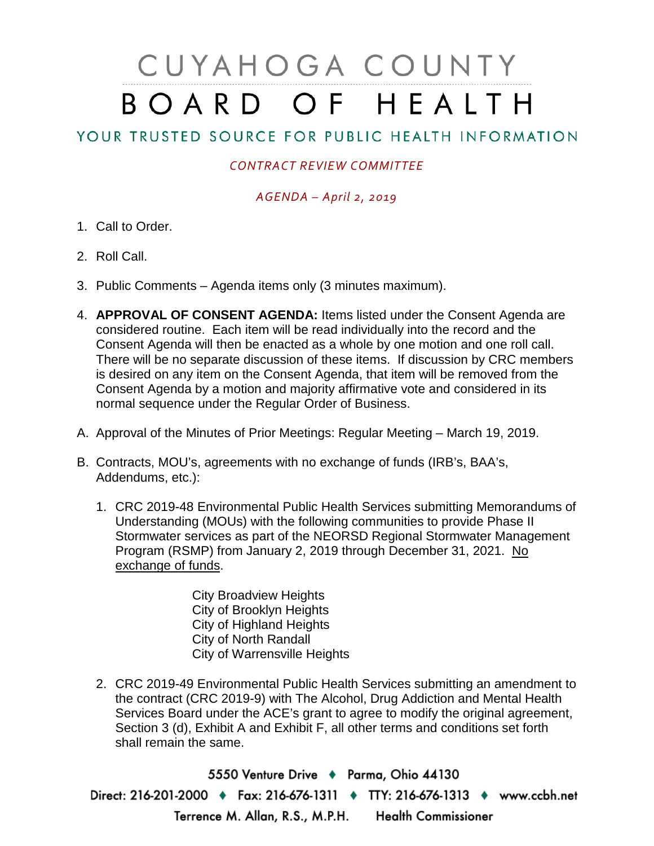# CUYAHOGA COUNTY BOARD OF HEALTH

## YOUR TRUSTED SOURCE FOR PUBLIC HEALTH INFORMATION

### *CONTRACT REVIEW COMMITTEE*

#### *AGENDA – April 2, 2019*

- 1. Call to Order.
- 2. Roll Call.
- 3. Public Comments Agenda items only (3 minutes maximum).
- 4. **APPROVAL OF CONSENT AGENDA:** Items listed under the Consent Agenda are considered routine. Each item will be read individually into the record and the Consent Agenda will then be enacted as a whole by one motion and one roll call. There will be no separate discussion of these items. If discussion by CRC members is desired on any item on the Consent Agenda, that item will be removed from the Consent Agenda by a motion and majority affirmative vote and considered in its normal sequence under the Regular Order of Business.
- A. Approval of the Minutes of Prior Meetings: Regular Meeting March 19, 2019.
- B. Contracts, MOU's, agreements with no exchange of funds (IRB's, BAA's, Addendums, etc.):
	- 1. CRC 2019-48 Environmental Public Health Services submitting Memorandums of Understanding (MOUs) with the following communities to provide Phase II Stormwater services as part of the NEORSD Regional Stormwater Management Program (RSMP) from January 2, 2019 through December 31, 2021. No exchange of funds.

City Broadview Heights City of Brooklyn Heights City of Highland Heights City of North Randall City of Warrensville Heights

2. CRC 2019-49 Environmental Public Health Services submitting an amendment to the contract (CRC 2019-9) with The Alcohol, Drug Addiction and Mental Health Services Board under the ACE's grant to agree to modify the original agreement, Section 3 (d), Exhibit A and Exhibit F, all other terms and conditions set forth shall remain the same.

5550 Venture Drive + Parma, Ohio 44130 Direct: 216-201-2000 • Fax: 216-676-1311 • TTY: 216-676-1313 • www.ccbh.net Terrence M. Allan, R.S., M.P.H. Health Commissioner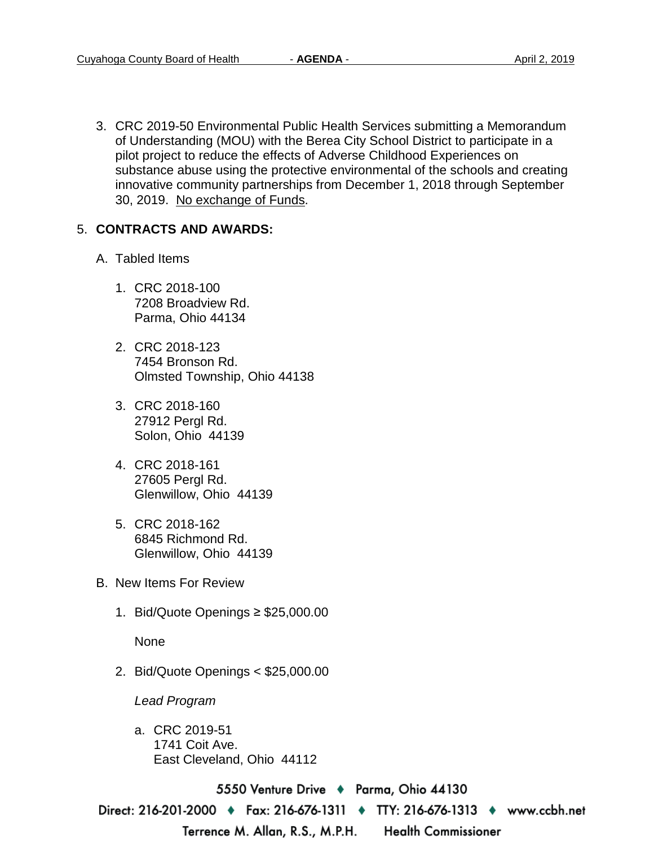3. CRC 2019-50 Environmental Public Health Services submitting a Memorandum of Understanding (MOU) with the Berea City School District to participate in a pilot project to reduce the effects of Adverse Childhood Experiences on substance abuse using the protective environmental of the schools and creating innovative community partnerships from December 1, 2018 through September 30, 2019. No exchange of Funds.

#### 5. **CONTRACTS AND AWARDS:**

- A. Tabled Items
	- 1. CRC 2018-100 7208 Broadview Rd. Parma, Ohio 44134
	- 2. CRC 2018-123 7454 Bronson Rd. Olmsted Township, Ohio 44138
	- 3. CRC 2018-160 27912 Pergl Rd. Solon, Ohio 44139
	- 4. CRC 2018-161 27605 Pergl Rd. Glenwillow, Ohio 44139
	- 5. CRC 2018-162 6845 Richmond Rd. Glenwillow, Ohio 44139
- B. New Items For Review
	- 1. Bid/Quote Openings ≥ \$25,000.00

None

2. Bid/Quote Openings < \$25,000.00

*Lead Program* 

a. CRC 2019-51 1741 Coit Ave. East Cleveland, Ohio 44112

5550 Venture Drive ♦ Parma, Ohio 44130

Direct: 216-201-2000 ♦ Fax: 216-676-1311 ♦ TTY: 216-676-1313 ♦ www.ccbh.net

Terrence M. Allan, R.S., M.P.H.

**Health Commissioner**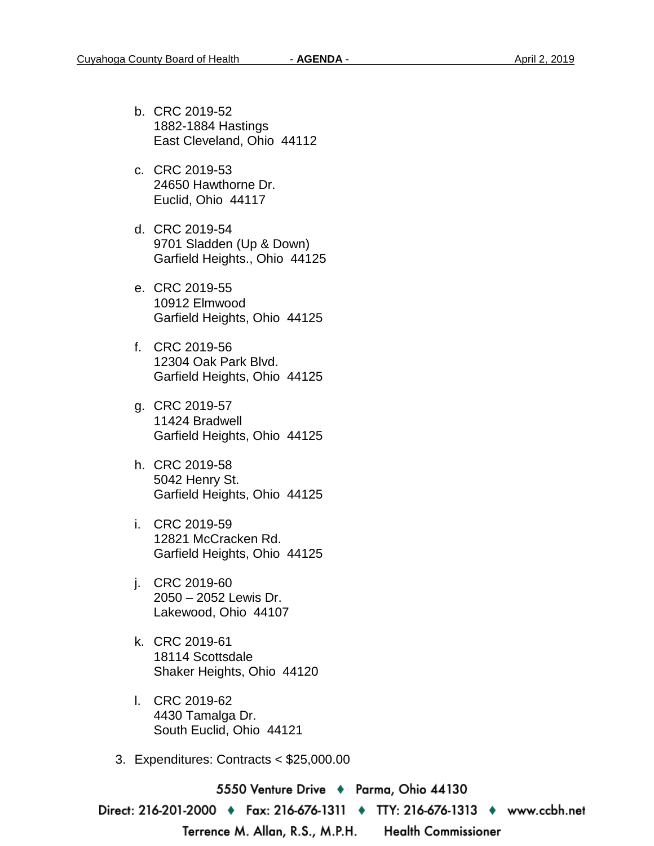- b. CRC 2019-52 1882-1884 Hastings East Cleveland, Ohio 44112
- c. CRC 2019-53 24650 Hawthorne Dr. Euclid, Ohio 44117
- d. CRC 2019-54 9701 Sladden (Up & Down) Garfield Heights., Ohio 44125
- e. CRC 2019-55 10912 Elmwood Garfield Heights, Ohio 44125
- f. CRC 2019-56 12304 Oak Park Blvd. Garfield Heights, Ohio 44125
- g. CRC 2019-57 11424 Bradwell Garfield Heights, Ohio 44125
- h. CRC 2019-58 5042 Henry St. Garfield Heights, Ohio 44125
- i. CRC 2019-59 12821 McCracken Rd. Garfield Heights, Ohio 44125
- j. CRC 2019-60 2050 – 2052 Lewis Dr. Lakewood, Ohio 44107
- k. CRC 2019-61 18114 Scottsdale Shaker Heights, Ohio 44120
- l. CRC 2019-62 4430 Tamalga Dr. South Euclid, Ohio 44121
- 3. Expenditures: Contracts < \$25,000.00

5550 Venture Drive ♦ Parma, Ohio 44130

Direct: 216-201-2000 ♦ Fax: 216-676-1311 ♦ TTY: 216-676-1313 ♦ www.ccbh.net

Terrence M. Allan, R.S., M.P.H.

**Health Commissioner**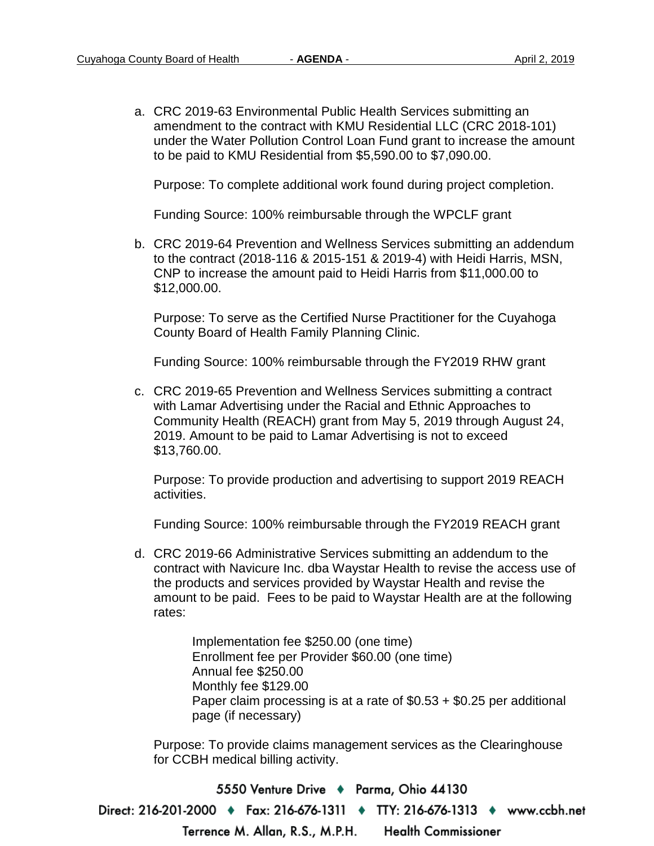a. CRC 2019-63 Environmental Public Health Services submitting an amendment to the contract with KMU Residential LLC (CRC 2018-101) under the Water Pollution Control Loan Fund grant to increase the amount to be paid to KMU Residential from \$5,590.00 to \$7,090.00.

Purpose: To complete additional work found during project completion.

Funding Source: 100% reimbursable through the WPCLF grant

b. CRC 2019-64 Prevention and Wellness Services submitting an addendum to the contract (2018-116 & 2015-151 & 2019-4) with Heidi Harris, MSN, CNP to increase the amount paid to Heidi Harris from \$11,000.00 to \$12,000.00.

Purpose: To serve as the Certified Nurse Practitioner for the Cuyahoga County Board of Health Family Planning Clinic.

Funding Source: 100% reimbursable through the FY2019 RHW grant

c. CRC 2019-65 Prevention and Wellness Services submitting a contract with Lamar Advertising under the Racial and Ethnic Approaches to Community Health (REACH) grant from May 5, 2019 through August 24, 2019. Amount to be paid to Lamar Advertising is not to exceed \$13,760.00.

Purpose: To provide production and advertising to support 2019 REACH activities.

Funding Source: 100% reimbursable through the FY2019 REACH grant

d. CRC 2019-66 Administrative Services submitting an addendum to the contract with Navicure Inc. dba Waystar Health to revise the access use of the products and services provided by Waystar Health and revise the amount to be paid. Fees to be paid to Waystar Health are at the following rates:

> Implementation fee \$250.00 (one time) Enrollment fee per Provider \$60.00 (one time) Annual fee \$250.00 Monthly fee \$129.00 Paper claim processing is at a rate of \$0.53 + \$0.25 per additional page (if necessary)

Purpose: To provide claims management services as the Clearinghouse for CCBH medical billing activity.

5550 Venture Drive + Parma, Ohio 44130 Direct: 216-201-2000 • Fax: 216-676-1311 • TTY: 216-676-1313 • www.ccbh.net Terrence M. Allan, R.S., M.P.H. **Health Commissioner**